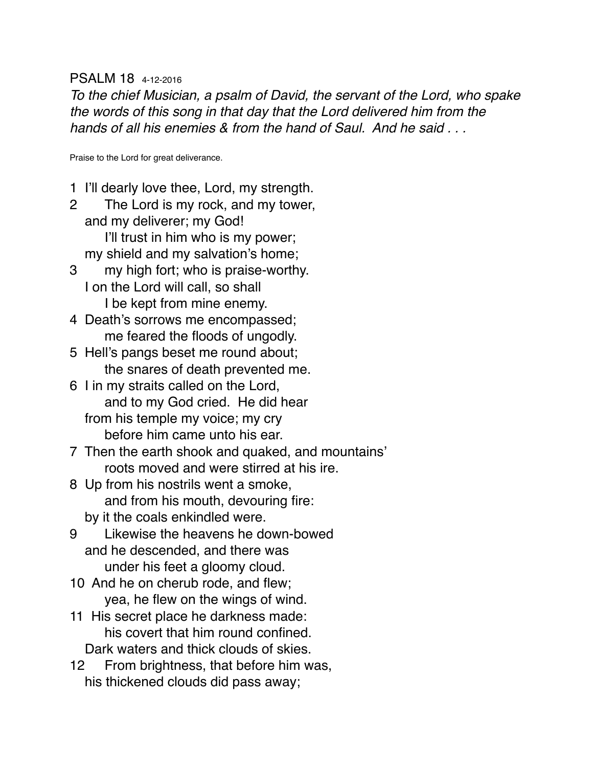#### PSALM 18 4-12-2016

*To the chief Musician, a psalm of David, the servant of the Lord, who spake the words of this song in that day that the Lord delivered him from the hands of all his enemies & from the hand of Saul. And he said . . .* 

Praise to the Lord for great deliverance.

- 1 I'll dearly love thee, Lord, my strength.
- 2 The Lord is my rock, and my tower, and my deliverer; my God! I'll trust in him who is my power; my shield and my salvation's home;
- 3 my high fort; who is praise-worthy. I on the Lord will call, so shall I be kept from mine enemy.
- 4 Death's sorrows me encompassed; me feared the floods of ungodly.
- 5 Hell's pangs beset me round about; the snares of death prevented me.
- 6 I in my straits called on the Lord, and to my God cried. He did hear from his temple my voice; my cry before him came unto his ear.
- 7 Then the earth shook and quaked, and mountains' roots moved and were stirred at his ire.
- 8 Up from his nostrils went a smoke, and from his mouth, devouring fire: by it the coals enkindled were.
- 9 Likewise the heavens he down-bowed and he descended, and there was under his feet a gloomy cloud.
- 10 And he on cherub rode, and flew; yea, he flew on the wings of wind.
- 11 His secret place he darkness made: his covert that him round confined. Dark waters and thick clouds of skies.
- 12 From brightness, that before him was, his thickened clouds did pass away;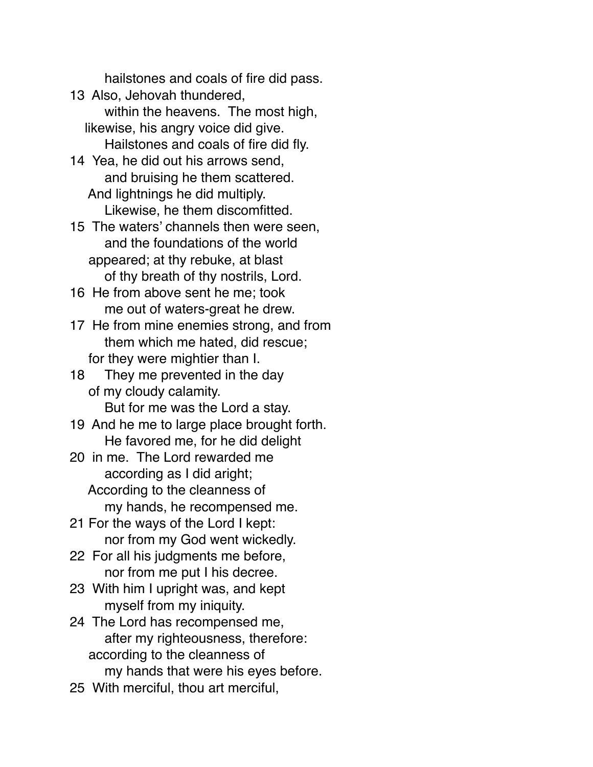hailstones and coals of fire did pass.

- 13 Also, Jehovah thundered, within the heavens. The most high, likewise, his angry voice did give. Hailstones and coals of fire did fly.
- 14 Yea, he did out his arrows send, and bruising he them scattered. And lightnings he did multiply. Likewise, he them discomfitted.

15 The waters' channels then were seen, and the foundations of the world appeared; at thy rebuke, at blast of thy breath of thy nostrils, Lord.

16 He from above sent he me; took me out of waters-great he drew.

17 He from mine enemies strong, and from them which me hated, did rescue; for they were mightier than I.

18 They me prevented in the day of my cloudy calamity. But for me was the Lord a stay.

19 And he me to large place brought forth. He favored me, for he did delight

20 in me. The Lord rewarded me according as I did aright; According to the cleanness of my hands, he recompensed me.

21 For the ways of the Lord I kept: nor from my God went wickedly.

- 22 For all his judgments me before, nor from me put I his decree.
- 23 With him I upright was, and kept myself from my iniquity.

24 The Lord has recompensed me, after my righteousness, therefore: according to the cleanness of my hands that were his eyes before.

25 With merciful, thou art merciful,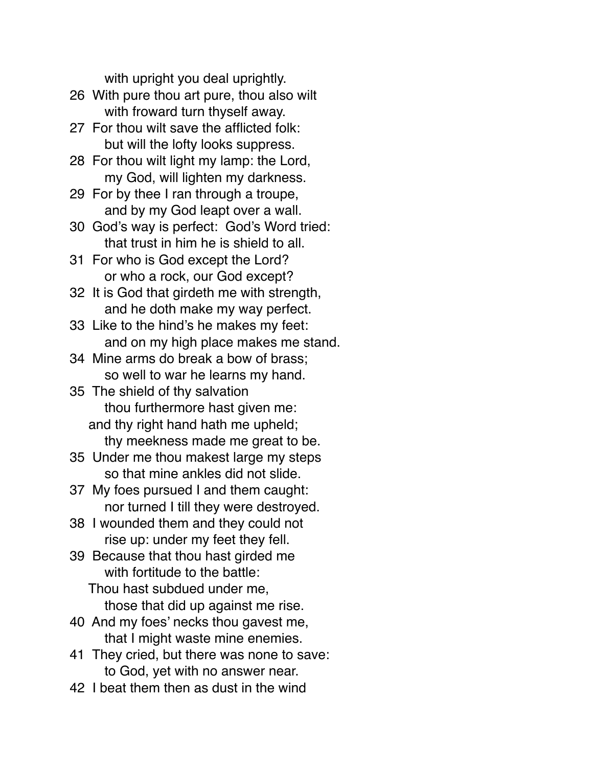with upright you deal uprightly.

- 26 With pure thou art pure, thou also wilt with froward turn thyself away.
- 27 For thou wilt save the afflicted folk: but will the lofty looks suppress.
- 28 For thou wilt light my lamp: the Lord, my God, will lighten my darkness.
- 29 For by thee I ran through a troupe, and by my God leapt over a wall.
- 30 God's way is perfect: God's Word tried: that trust in him he is shield to all.
- 31 For who is God except the Lord? or who a rock, our God except?
- 32 It is God that girdeth me with strength, and he doth make my way perfect.
- 33 Like to the hind's he makes my feet: and on my high place makes me stand.
- 34 Mine arms do break a bow of brass; so well to war he learns my hand.
- 35 The shield of thy salvation thou furthermore hast given me: and thy right hand hath me upheld; thy meekness made me great to be.
- 35 Under me thou makest large my steps so that mine ankles did not slide.
- 37 My foes pursued I and them caught: nor turned I till they were destroyed.
- 38 I wounded them and they could not rise up: under my feet they fell.
- 39 Because that thou hast girded me with fortitude to the battle:
	- Thou hast subdued under me, those that did up against me rise.
- 40 And my foes' necks thou gavest me, that I might waste mine enemies.
- 41 They cried, but there was none to save: to God, yet with no answer near.
- 42 I beat them then as dust in the wind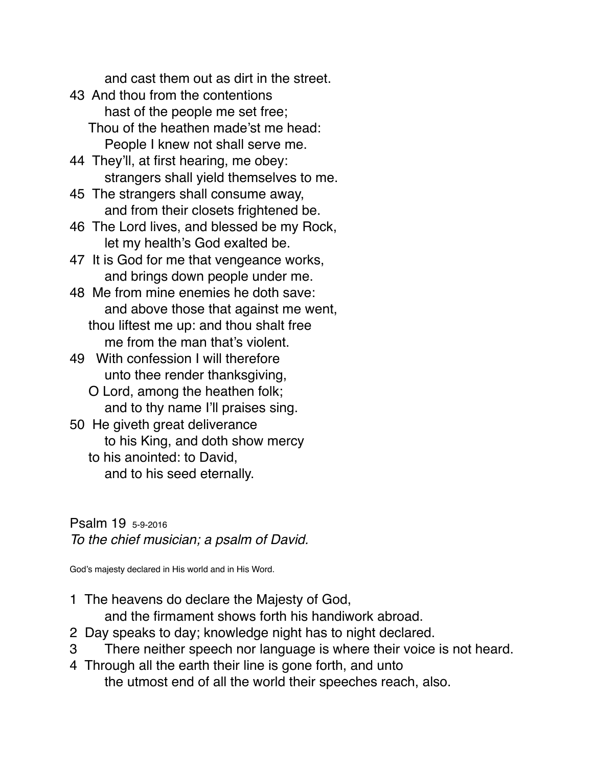and cast them out as dirt in the street.

- 43 And thou from the contentions hast of the people me set free; Thou of the heathen made'st me head: People I knew not shall serve me.
- 44 They'll, at first hearing, me obey: strangers shall yield themselves to me.
- 45 The strangers shall consume away, and from their closets frightened be.
- 46 The Lord lives, and blessed be my Rock, let my health's God exalted be.
- 47 It is God for me that vengeance works, and brings down people under me.
- 48 Me from mine enemies he doth save: and above those that against me went, thou liftest me up: and thou shalt free me from the man that's violent.
- 49 With confession I will therefore unto thee render thanksgiving,
	- O Lord, among the heathen folk; and to thy name I'll praises sing.
- 50 He giveth great deliverance to his King, and doth show mercy
	- to his anointed: to David, and to his seed eternally.

Psalm 19 5-9-2016 *To the chief musician; a psalm of David.*

God's majesty declared in His world and in His Word.

1 The heavens do declare the Majesty of God,

and the firmament shows forth his handiwork abroad.

- 2 Day speaks to day; knowledge night has to night declared.
- 3 There neither speech nor language is where their voice is not heard.
- 4 Through all the earth their line is gone forth, and unto the utmost end of all the world their speeches reach, also.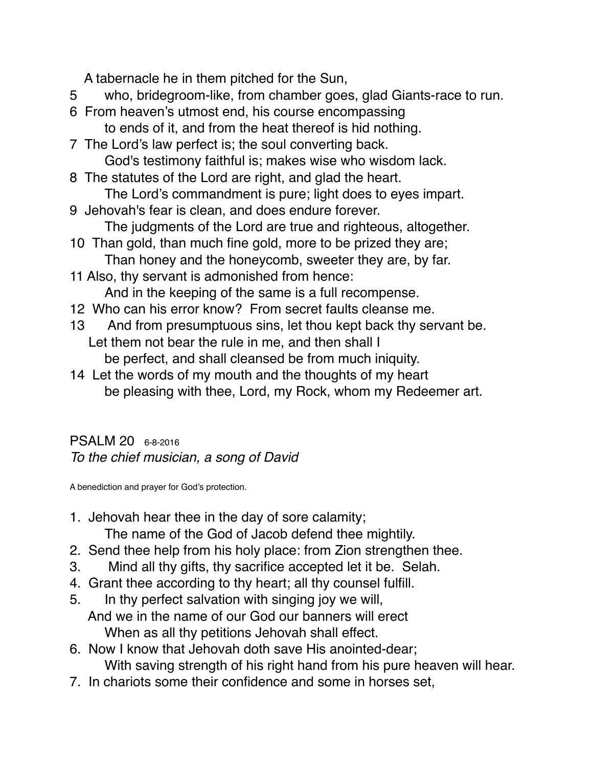A tabernacle he in them pitched for the Sun,

- 5 who, bridegroom-like, from chamber goes, glad Giants-race to run.
- 6 From heaven's utmost end, his course encompassing to ends of it, and from the heat thereof is hid nothing.
- 7 The Lord's law perfect is; the soul converting back. God's testimony faithful is; makes wise who wisdom lack.
- 8 The statutes of the Lord are right, and glad the heart. The Lord's commandment is pure; light does to eyes impart.
- 9 Jehovah's fear is clean, and does endure forever. The judgments of the Lord are true and righteous, altogether.
- 10 Than gold, than much fine gold, more to be prized they are; Than honey and the honeycomb, sweeter they are, by far.
- 11 Also, thy servant is admonished from hence: And in the keeping of the same is a full recompense.
- 12 Who can his error know? From secret faults cleanse me.
- 13 And from presumptuous sins, let thou kept back thy servant be. Let them not bear the rule in me, and then shall I be perfect, and shall cleansed be from much iniquity.
- 14 Let the words of my mouth and the thoughts of my heart be pleasing with thee, Lord, my Rock, whom my Redeemer art.

PSALM 20 6-8-2016 *To the chief musician, a song of David*

A benediction and prayer for God's protection.

- 1. Jehovah hear thee in the day of sore calamity; The name of the God of Jacob defend thee mightily.
- 2. Send thee help from his holy place: from Zion strengthen thee.
- 3. Mind all thy gifts, thy sacrifice accepted let it be. Selah.
- 4. Grant thee according to thy heart; all thy counsel fulfill.
- 5. In thy perfect salvation with singing joy we will, And we in the name of our God our banners will erect When as all thy petitions Jehovah shall effect.
- 6. Now I know that Jehovah doth save His anointed-dear; With saving strength of his right hand from his pure heaven will hear.
- 7. In chariots some their confidence and some in horses set,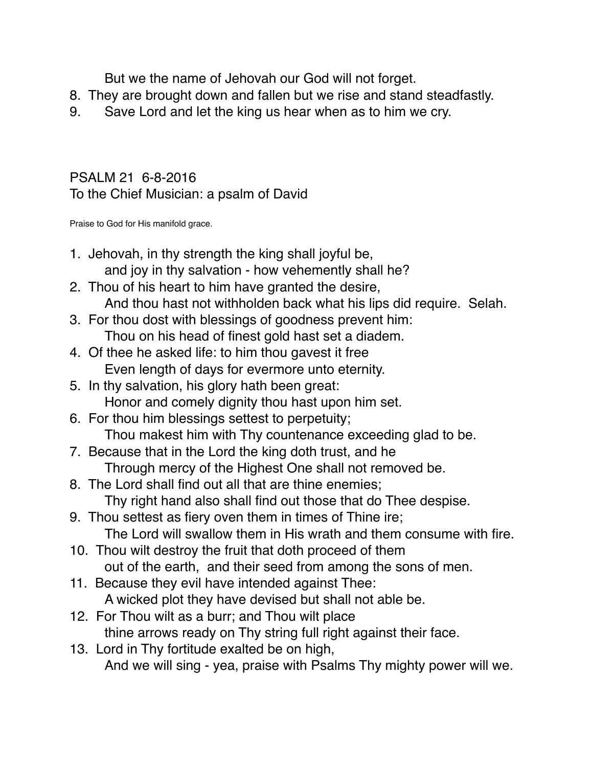But we the name of Jehovah our God will not forget.

- 8. They are brought down and fallen but we rise and stand steadfastly.
- 9. Save Lord and let the king us hear when as to him we cry.

#### PSALM 21 6-8-2016 To the Chief Musician: a psalm of David

Praise to God for His manifold grace.

- 1. Jehovah, in thy strength the king shall joyful be, and joy in thy salvation - how vehemently shall he?
- 2. Thou of his heart to him have granted the desire, And thou hast not withholden back what his lips did require. Selah.
- 3. For thou dost with blessings of goodness prevent him: Thou on his head of finest gold hast set a diadem.
- 4. Of thee he asked life: to him thou gavest it free Even length of days for evermore unto eternity.
- 5. In thy salvation, his glory hath been great: Honor and comely dignity thou hast upon him set.
- 6. For thou him blessings settest to perpetuity; Thou makest him with Thy countenance exceeding glad to be.
- 7. Because that in the Lord the king doth trust, and he Through mercy of the Highest One shall not removed be.
- 8. The Lord shall find out all that are thine enemies; Thy right hand also shall find out those that do Thee despise.
- 9. Thou settest as fiery oven them in times of Thine ire; The Lord will swallow them in His wrath and them consume with fire.
- 10. Thou wilt destroy the fruit that doth proceed of them out of the earth, and their seed from among the sons of men.
- 11. Because they evil have intended against Thee: A wicked plot they have devised but shall not able be.
- 12. For Thou wilt as a burr; and Thou wilt place thine arrows ready on Thy string full right against their face.
- 13. Lord in Thy fortitude exalted be on high, And we will sing - yea, praise with Psalms Thy mighty power will we.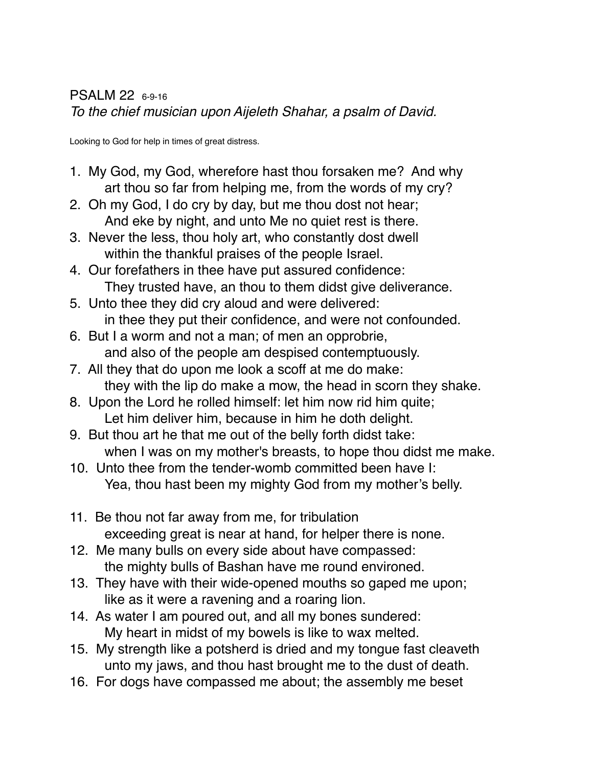Looking to God for help in times of great distress.

- 1. My God, my God, wherefore hast thou forsaken me? And why art thou so far from helping me, from the words of my cry?
- 2. Oh my God, I do cry by day, but me thou dost not hear; And eke by night, and unto Me no quiet rest is there.
- 3. Never the less, thou holy art, who constantly dost dwell within the thankful praises of the people Israel.
- 4. Our forefathers in thee have put assured confidence: They trusted have, an thou to them didst give deliverance.
- 5. Unto thee they did cry aloud and were delivered: in thee they put their confidence, and were not confounded.
- 6. But I a worm and not a man; of men an opprobrie, and also of the people am despised contemptuously.
- 7. All they that do upon me look a scoff at me do make: they with the lip do make a mow, the head in scorn they shake.
- 8. Upon the Lord he rolled himself: let him now rid him quite; Let him deliver him, because in him he doth delight.
- 9. But thou art he that me out of the belly forth didst take: when I was on my mother's breasts, to hope thou didst me make.
- 10. Unto thee from the tender-womb committed been have I: Yea, thou hast been my mighty God from my mother's belly.
- 11. Be thou not far away from me, for tribulation exceeding great is near at hand, for helper there is none.
- 12. Me many bulls on every side about have compassed: the mighty bulls of Bashan have me round environed.
- 13. They have with their wide-opened mouths so gaped me upon; like as it were a ravening and a roaring lion.
- 14. As water I am poured out, and all my bones sundered: My heart in midst of my bowels is like to wax melted.
- 15. My strength like a potsherd is dried and my tongue fast cleaveth unto my jaws, and thou hast brought me to the dust of death.
- 16. For dogs have compassed me about; the assembly me beset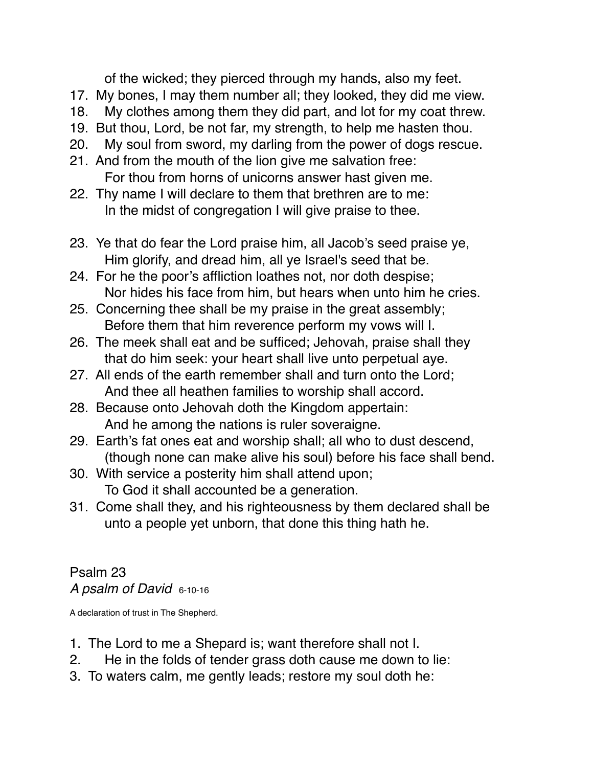of the wicked; they pierced through my hands, also my feet.

- 17. My bones, I may them number all; they looked, they did me view.
- 18. My clothes among them they did part, and lot for my coat threw.
- 19. But thou, Lord, be not far, my strength, to help me hasten thou.
- 20. My soul from sword, my darling from the power of dogs rescue.
- 21. And from the mouth of the lion give me salvation free: For thou from horns of unicorns answer hast given me.
- 22. Thy name I will declare to them that brethren are to me: In the midst of congregation I will give praise to thee.
- 23. Ye that do fear the Lord praise him, all Jacob's seed praise ye, Him glorify, and dread him, all ye Israel's seed that be.
- 24. For he the poor's affliction loathes not, nor doth despise; Nor hides his face from him, but hears when unto him he cries.
- 25. Concerning thee shall be my praise in the great assembly; Before them that him reverence perform my vows will I.
- 26. The meek shall eat and be sufficed; Jehovah, praise shall they that do him seek: your heart shall live unto perpetual aye.
- 27. All ends of the earth remember shall and turn onto the Lord; And thee all heathen families to worship shall accord.
- 28. Because onto Jehovah doth the Kingdom appertain: And he among the nations is ruler soveraigne.
- 29. Earth's fat ones eat and worship shall; all who to dust descend, (though none can make alive his soul) before his face shall bend.
- 30. With service a posterity him shall attend upon; To God it shall accounted be a generation.
- 31. Come shall they, and his righteousness by them declared shall be unto a people yet unborn, that done this thing hath he.

Psalm 23 *A psalm of David* 6-10-16

A declaration of trust in The Shepherd.

- 1. The Lord to me a Shepard is; want therefore shall not I.
- 2. He in the folds of tender grass doth cause me down to lie:
- 3. To waters calm, me gently leads; restore my soul doth he: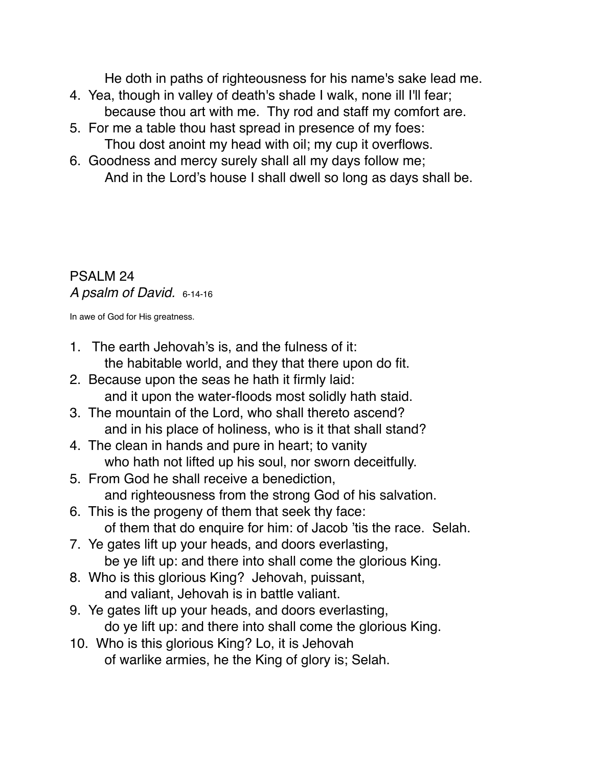He doth in paths of righteousness for his name's sake lead me.

- 4. Yea, though in valley of death's shade I walk, none ill I'll fear; because thou art with me. Thy rod and staff my comfort are.
- 5. For me a table thou hast spread in presence of my foes: Thou dost anoint my head with oil; my cup it overflows.
- 6. Goodness and mercy surely shall all my days follow me; And in the Lord's house I shall dwell so long as days shall be.

#### PSALM 24 *A psalm of David.* 6-14-16

In awe of God for His greatness.

- 1. The earth Jehovah's is, and the fulness of it: the habitable world, and they that there upon do fit.
- 2. Because upon the seas he hath it firmly laid: and it upon the water-floods most solidly hath staid.
- 3. The mountain of the Lord, who shall thereto ascend? and in his place of holiness, who is it that shall stand?
- 4. The clean in hands and pure in heart; to vanity who hath not lifted up his soul, nor sworn deceitfully.
- 5. From God he shall receive a benediction, and righteousness from the strong God of his salvation.
- 6. This is the progeny of them that seek thy face: of them that do enquire for him: of Jacob 'tis the race. Selah.
- 7. Ye gates lift up your heads, and doors everlasting, be ye lift up: and there into shall come the glorious King.
- 8. Who is this glorious King? Jehovah, puissant, and valiant, Jehovah is in battle valiant.
- 9. Ye gates lift up your heads, and doors everlasting, do ye lift up: and there into shall come the glorious King.
- 10. Who is this glorious King? Lo, it is Jehovah of warlike armies, he the King of glory is; Selah.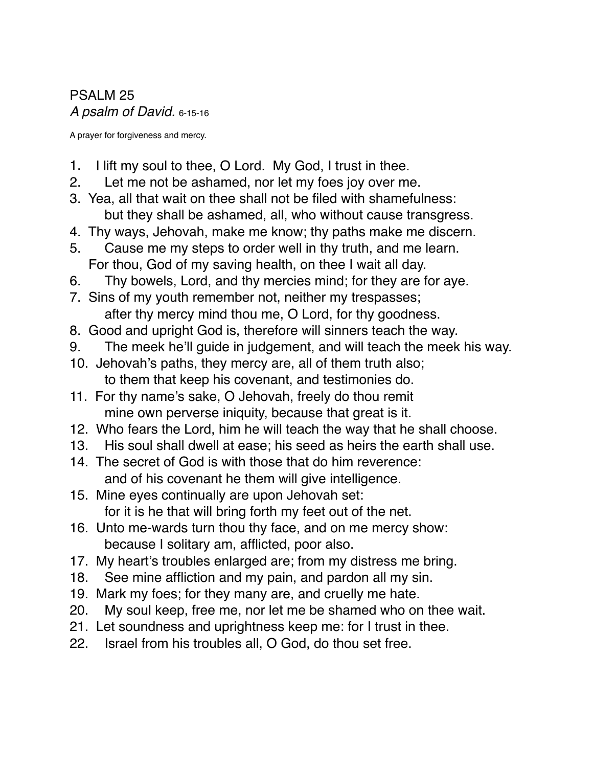PSALM 25 *A psalm of David.* 6-15-16

A prayer for forgiveness and mercy.

- 1. I lift my soul to thee, O Lord. My God, I trust in thee.
- 2. Let me not be ashamed, nor let my foes joy over me.
- 3. Yea, all that wait on thee shall not be filed with shamefulness: but they shall be ashamed, all, who without cause transgress.
- 4. Thy ways, Jehovah, make me know; thy paths make me discern.
- 5. Cause me my steps to order well in thy truth, and me learn. For thou, God of my saving health, on thee I wait all day.
- 6. Thy bowels, Lord, and thy mercies mind; for they are for aye.
- 7. Sins of my youth remember not, neither my trespasses; after thy mercy mind thou me, O Lord, for thy goodness.
- 8. Good and upright God is, therefore will sinners teach the way.
- 9. The meek he'll guide in judgement, and will teach the meek his way.
- 10. Jehovah's paths, they mercy are, all of them truth also; to them that keep his covenant, and testimonies do.
- 11. For thy name's sake, O Jehovah, freely do thou remit mine own perverse iniquity, because that great is it.
- 12. Who fears the Lord, him he will teach the way that he shall choose.
- 13. His soul shall dwell at ease; his seed as heirs the earth shall use.
- 14. The secret of God is with those that do him reverence: and of his covenant he them will give intelligence.
- 15. Mine eyes continually are upon Jehovah set: for it is he that will bring forth my feet out of the net.
- 16. Unto me-wards turn thou thy face, and on me mercy show: because I solitary am, afflicted, poor also.
- 17. My heart's troubles enlarged are; from my distress me bring.
- 18. See mine affliction and my pain, and pardon all my sin.
- 19. Mark my foes; for they many are, and cruelly me hate.
- 20. My soul keep, free me, nor let me be shamed who on thee wait.
- 21. Let soundness and uprightness keep me: for I trust in thee.
- 22. Israel from his troubles all, O God, do thou set free.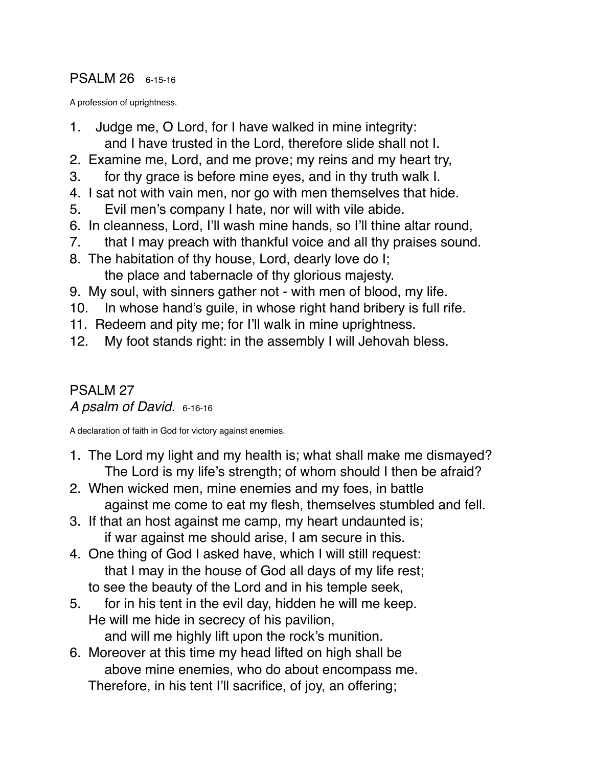#### PSALM 26 6-15-16

A profession of uprightness.

- 1. Judge me, O Lord, for I have walked in mine integrity: and I have trusted in the Lord, therefore slide shall not I.
- 2. Examine me, Lord, and me prove; my reins and my heart try,
- 3. for thy grace is before mine eyes, and in thy truth walk I.
- 4. I sat not with vain men, nor go with men themselves that hide.
- 5. Evil men's company I hate, nor will with vile abide.
- 6. In cleanness, Lord, I'll wash mine hands, so I'll thine altar round,
- 7. that I may preach with thankful voice and all thy praises sound.
- 8. The habitation of thy house, Lord, dearly love do I; the place and tabernacle of thy glorious majesty.
- 9. My soul, with sinners gather not with men of blood, my life.
- 10. In whose hand's guile, in whose right hand bribery is full rife.
- 11. Redeem and pity me; for I'll walk in mine uprightness.
- 12. My foot stands right: in the assembly I will Jehovah bless.

#### PSALM 27 *A psalm of David.* 6-16-16

A declaration of faith in God for victory against enemies.

- 1. The Lord my light and my health is; what shall make me dismayed? The Lord is my life's strength; of whom should I then be afraid?
- 2. When wicked men, mine enemies and my foes, in battle against me come to eat my flesh, themselves stumbled and fell.
- 3. If that an host against me camp, my heart undaunted is; if war against me should arise, I am secure in this.
- 4. One thing of God I asked have, which I will still request: that I may in the house of God all days of my life rest; to see the beauty of the Lord and in his temple seek,
- 5. for in his tent in the evil day, hidden he will me keep. He will me hide in secrecy of his pavilion, and will me highly lift upon the rock's munition.
- 6. Moreover at this time my head lifted on high shall be above mine enemies, who do about encompass me. Therefore, in his tent I'll sacrifice, of joy, an offering;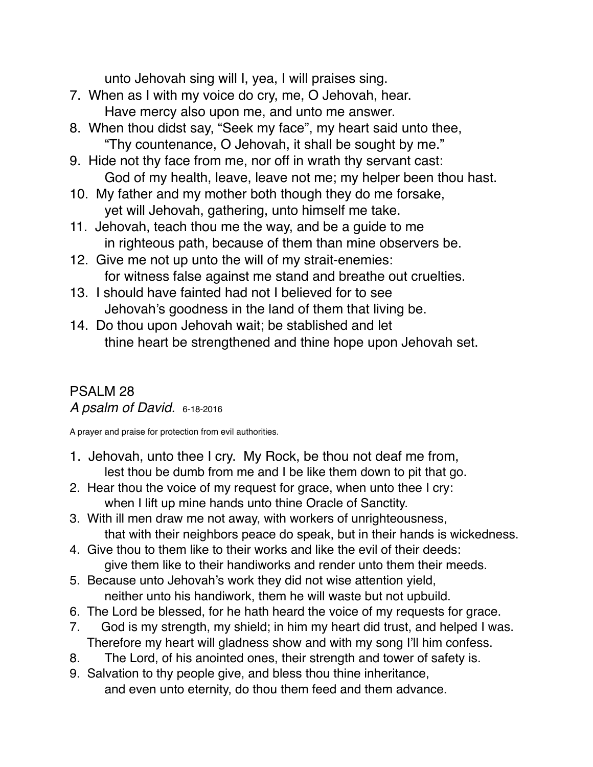unto Jehovah sing will I, yea, I will praises sing.

- 7. When as I with my voice do cry, me, O Jehovah, hear. Have mercy also upon me, and unto me answer.
- 8. When thou didst say, "Seek my face", my heart said unto thee, "Thy countenance, O Jehovah, it shall be sought by me."
- 9. Hide not thy face from me, nor off in wrath thy servant cast: God of my health, leave, leave not me; my helper been thou hast.
- 10. My father and my mother both though they do me forsake, yet will Jehovah, gathering, unto himself me take.
- 11. Jehovah, teach thou me the way, and be a guide to me in righteous path, because of them than mine observers be.
- 12. Give me not up unto the will of my strait-enemies: for witness false against me stand and breathe out cruelties.
- 13. I should have fainted had not I believed for to see Jehovah's goodness in the land of them that living be.
- 14. Do thou upon Jehovah wait; be stablished and let thine heart be strengthened and thine hope upon Jehovah set.

#### PSALM 28 *A psalm of David.* 6-18-2016

A prayer and praise for protection from evil authorities.

- 1. Jehovah, unto thee I cry. My Rock, be thou not deaf me from, lest thou be dumb from me and I be like them down to pit that go.
- 2. Hear thou the voice of my request for grace, when unto thee I cry: when I lift up mine hands unto thine Oracle of Sanctity.
- 3. With ill men draw me not away, with workers of unrighteousness, that with their neighbors peace do speak, but in their hands is wickedness.
- 4. Give thou to them like to their works and like the evil of their deeds: give them like to their handiworks and render unto them their meeds.
- 5. Because unto Jehovah's work they did not wise attention yield, neither unto his handiwork, them he will waste but not upbuild.
- 6. The Lord be blessed, for he hath heard the voice of my requests for grace.
- 7. God is my strength, my shield; in him my heart did trust, and helped I was. Therefore my heart will gladness show and with my song I'll him confess.
- 8. The Lord, of his anointed ones, their strength and tower of safety is.
- 9. Salvation to thy people give, and bless thou thine inheritance, and even unto eternity, do thou them feed and them advance.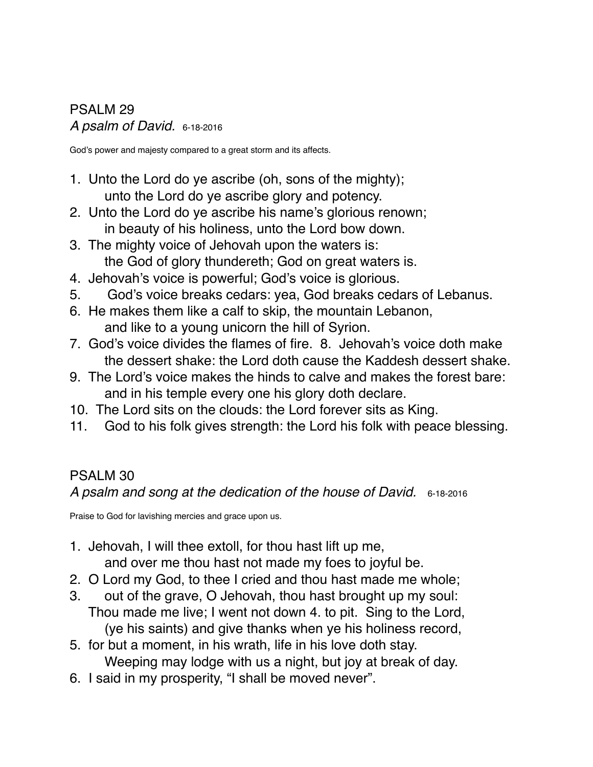## PSALM 29 *A psalm of David.* 6-18-2016

God's power and majesty compared to a great storm and its affects.

- 1. Unto the Lord do ye ascribe (oh, sons of the mighty); unto the Lord do ye ascribe glory and potency.
- 2. Unto the Lord do ye ascribe his name's glorious renown; in beauty of his holiness, unto the Lord bow down.
- 3. The mighty voice of Jehovah upon the waters is: the God of glory thundereth; God on great waters is.
- 4. Jehovah's voice is powerful; God's voice is glorious.
- 5. God's voice breaks cedars: yea, God breaks cedars of Lebanus.
- 6. He makes them like a calf to skip, the mountain Lebanon, and like to a young unicorn the hill of Syrion.
- 7. God's voice divides the flames of fire. 8. Jehovah's voice doth make the dessert shake: the Lord doth cause the Kaddesh dessert shake.
- 9. The Lord's voice makes the hinds to calve and makes the forest bare: and in his temple every one his glory doth declare.
- 10. The Lord sits on the clouds: the Lord forever sits as King.
- 11. God to his folk gives strength: the Lord his folk with peace blessing.

# PSALM 30

*A psalm and song at the dedication of the house of David.* 6-18-2016

Praise to God for lavishing mercies and grace upon us.

- 1. Jehovah, I will thee extoll, for thou hast lift up me, and over me thou hast not made my foes to joyful be.
- 2. O Lord my God, to thee I cried and thou hast made me whole;
- 3. out of the grave, O Jehovah, thou hast brought up my soul: Thou made me live; I went not down 4. to pit. Sing to the Lord, (ye his saints) and give thanks when ye his holiness record,
- 5. for but a moment, in his wrath, life in his love doth stay. Weeping may lodge with us a night, but joy at break of day.
- 6. I said in my prosperity, "I shall be moved never".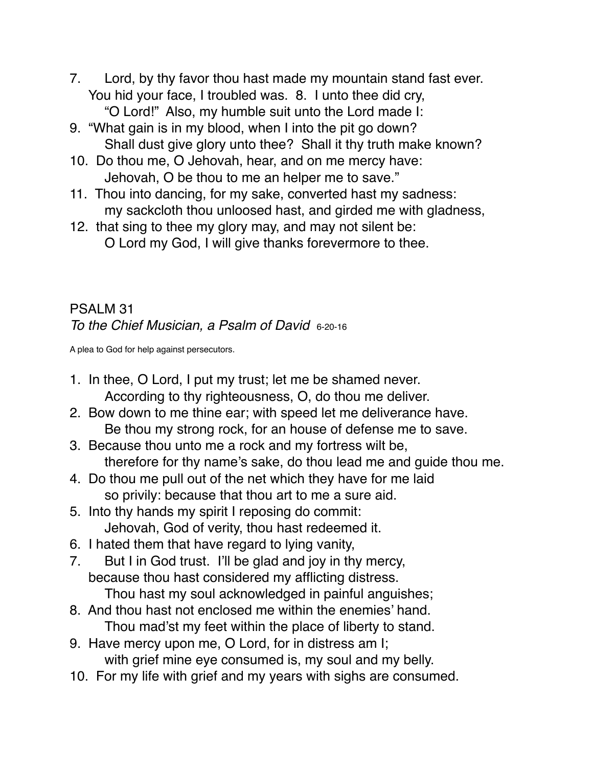- 7. Lord, by thy favor thou hast made my mountain stand fast ever. You hid your face, I troubled was. 8. I unto thee did cry, "O Lord!" Also, my humble suit unto the Lord made I:
- 9. "What gain is in my blood, when I into the pit go down? Shall dust give glory unto thee? Shall it thy truth make known?
- 10. Do thou me, O Jehovah, hear, and on me mercy have: Jehovah, O be thou to me an helper me to save."
- 11. Thou into dancing, for my sake, converted hast my sadness: my sackcloth thou unloosed hast, and girded me with gladness,
- 12. that sing to thee my glory may, and may not silent be: O Lord my God, I will give thanks forevermore to thee.

#### PSALM 31 *To the Chief Musician, a Psalm of David* 6-20-16

A plea to God for help against persecutors.

- 1. In thee, O Lord, I put my trust; let me be shamed never. According to thy righteousness, O, do thou me deliver.
- 2. Bow down to me thine ear; with speed let me deliverance have. Be thou my strong rock, for an house of defense me to save.
- 3. Because thou unto me a rock and my fortress wilt be, therefore for thy name's sake, do thou lead me and guide thou me.
- 4. Do thou me pull out of the net which they have for me laid so privily: because that thou art to me a sure aid.
- 5. Into thy hands my spirit I reposing do commit: Jehovah, God of verity, thou hast redeemed it.
- 6. I hated them that have regard to lying vanity,
- 7. But I in God trust. I'll be glad and joy in thy mercy, because thou hast considered my afflicting distress. Thou hast my soul acknowledged in painful anguishes;
- 8. And thou hast not enclosed me within the enemies' hand. Thou mad'st my feet within the place of liberty to stand.
- 9. Have mercy upon me, O Lord, for in distress am I; with grief mine eye consumed is, my soul and my belly.
- 10. For my life with grief and my years with sighs are consumed.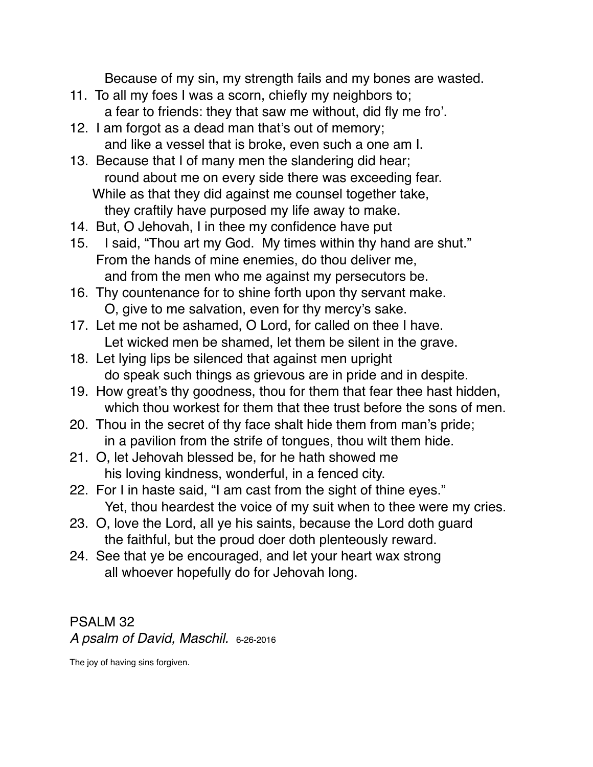Because of my sin, my strength fails and my bones are wasted.

- 11. To all my foes I was a scorn, chiefly my neighbors to; a fear to friends: they that saw me without, did fly me fro'.
- 12. I am forgot as a dead man that's out of memory; and like a vessel that is broke, even such a one am I.
- 13. Because that I of many men the slandering did hear; round about me on every side there was exceeding fear. While as that they did against me counsel together take, they craftily have purposed my life away to make.
- 14. But, O Jehovah, I in thee my confidence have put
- 15. I said, "Thou art my God. My times within thy hand are shut." From the hands of mine enemies, do thou deliver me, and from the men who me against my persecutors be.
- 16. Thy countenance for to shine forth upon thy servant make. O, give to me salvation, even for thy mercy's sake.
- 17. Let me not be ashamed, O Lord, for called on thee I have. Let wicked men be shamed, let them be silent in the grave.
- 18. Let lying lips be silenced that against men upright do speak such things as grievous are in pride and in despite.
- 19. How great's thy goodness, thou for them that fear thee hast hidden, which thou workest for them that thee trust before the sons of men.
- 20. Thou in the secret of thy face shalt hide them from man's pride; in a pavilion from the strife of tongues, thou wilt them hide.
- 21. O, let Jehovah blessed be, for he hath showed me his loving kindness, wonderful, in a fenced city.
- 22. For I in haste said, "I am cast from the sight of thine eyes." Yet, thou heardest the voice of my suit when to thee were my cries.
- 23. O, love the Lord, all ye his saints, because the Lord doth guard the faithful, but the proud doer doth plenteously reward.
- 24. See that ye be encouraged, and let your heart wax strong all whoever hopefully do for Jehovah long.

## PSALM 32 *A psalm of David, Maschil.* 6-26-2016

The joy of having sins forgiven.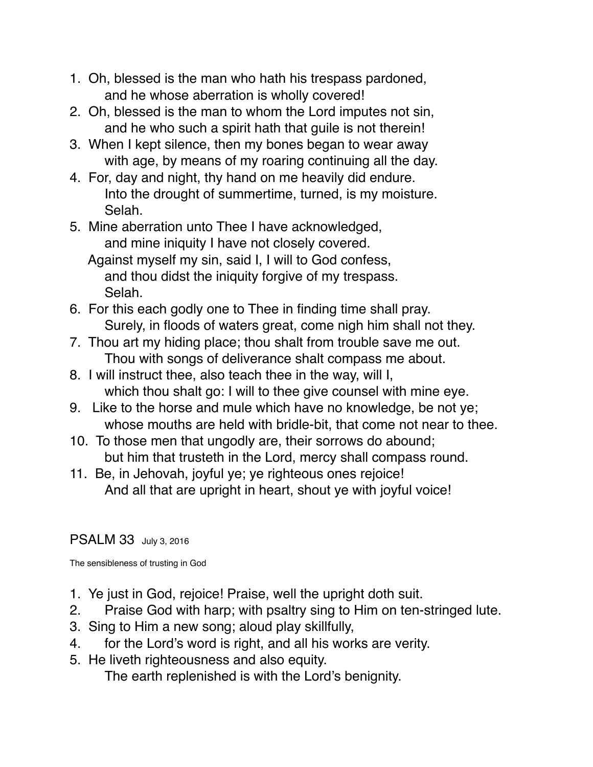- 1. Oh, blessed is the man who hath his trespass pardoned, and he whose aberration is wholly covered!
- 2. Oh, blessed is the man to whom the Lord imputes not sin, and he who such a spirit hath that guile is not therein!
- 3. When I kept silence, then my bones began to wear away with age, by means of my roaring continuing all the day.
- 4. For, day and night, thy hand on me heavily did endure. Into the drought of summertime, turned, is my moisture. Selah.
- 5. Mine aberration unto Thee I have acknowledged, and mine iniquity I have not closely covered.
	- Against myself my sin, said I, I will to God confess, and thou didst the iniquity forgive of my trespass. Selah.
- 6. For this each godly one to Thee in finding time shall pray. Surely, in floods of waters great, come nigh him shall not they.
- 7. Thou art my hiding place; thou shalt from trouble save me out. Thou with songs of deliverance shalt compass me about.
- 8. I will instruct thee, also teach thee in the way, will I, which thou shalt go: I will to thee give counsel with mine eye.
- 9. Like to the horse and mule which have no knowledge, be not ye; whose mouths are held with bridle-bit, that come not near to thee.
- 10. To those men that ungodly are, their sorrows do abound; but him that trusteth in the Lord, mercy shall compass round.
- 11. Be, in Jehovah, joyful ye; ye righteous ones rejoice! And all that are upright in heart, shout ye with joyful voice!

## PSALM 33 July 3, 2016

The sensibleness of trusting in God

- 1. Ye just in God, rejoice! Praise, well the upright doth suit.
- 2. Praise God with harp; with psaltry sing to Him on ten-stringed lute.
- 3. Sing to Him a new song; aloud play skillfully,
- 4. for the Lord's word is right, and all his works are verity.
- 5. He liveth righteousness and also equity.

The earth replenished is with the Lord's benignity.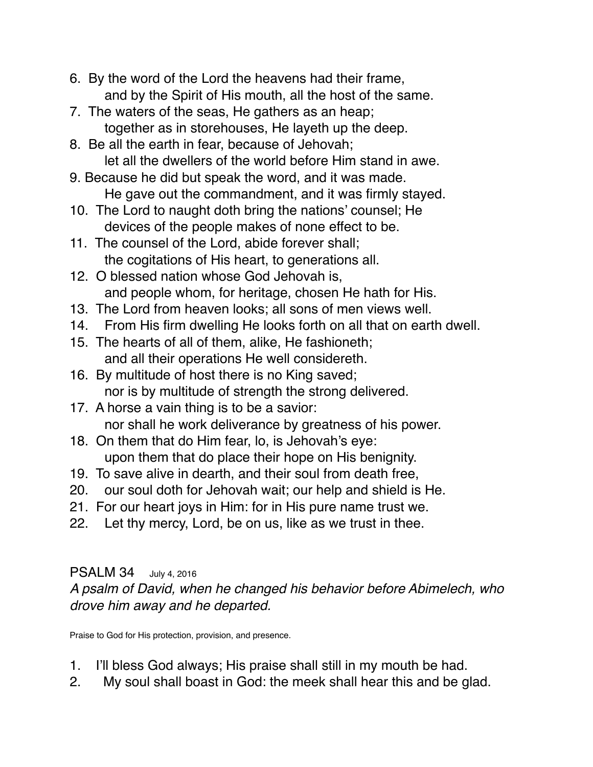- 6. By the word of the Lord the heavens had their frame, and by the Spirit of His mouth, all the host of the same.
- 7. The waters of the seas, He gathers as an heap; together as in storehouses, He layeth up the deep.
- 8. Be all the earth in fear, because of Jehovah; let all the dwellers of the world before Him stand in awe.
- 9. Because he did but speak the word, and it was made. He gave out the commandment, and it was firmly stayed.
- 10. The Lord to naught doth bring the nations' counsel; He devices of the people makes of none effect to be.
- 11. The counsel of the Lord, abide forever shall; the cogitations of His heart, to generations all.
- 12. O blessed nation whose God Jehovah is, and people whom, for heritage, chosen He hath for His.
- 13. The Lord from heaven looks; all sons of men views well.
- 14. From His firm dwelling He looks forth on all that on earth dwell.
- 15. The hearts of all of them, alike, He fashioneth; and all their operations He well considereth.
- 16. By multitude of host there is no King saved; nor is by multitude of strength the strong delivered.
- 17. A horse a vain thing is to be a savior: nor shall he work deliverance by greatness of his power.
- 18. On them that do Him fear, lo, is Jehovah's eye: upon them that do place their hope on His benignity.
- 19. To save alive in dearth, and their soul from death free,
- 20. our soul doth for Jehovah wait; our help and shield is He.
- 21. For our heart joys in Him: for in His pure name trust we.
- 22. Let thy mercy, Lord, be on us, like as we trust in thee.

## PSALM 34 July 4, 2016

*A psalm of David, when he changed his behavior before Abimelech, who drove him away and he departed.*

Praise to God for His protection, provision, and presence.

- 1. I'll bless God always; His praise shall still in my mouth be had.
- 2. My soul shall boast in God: the meek shall hear this and be glad.